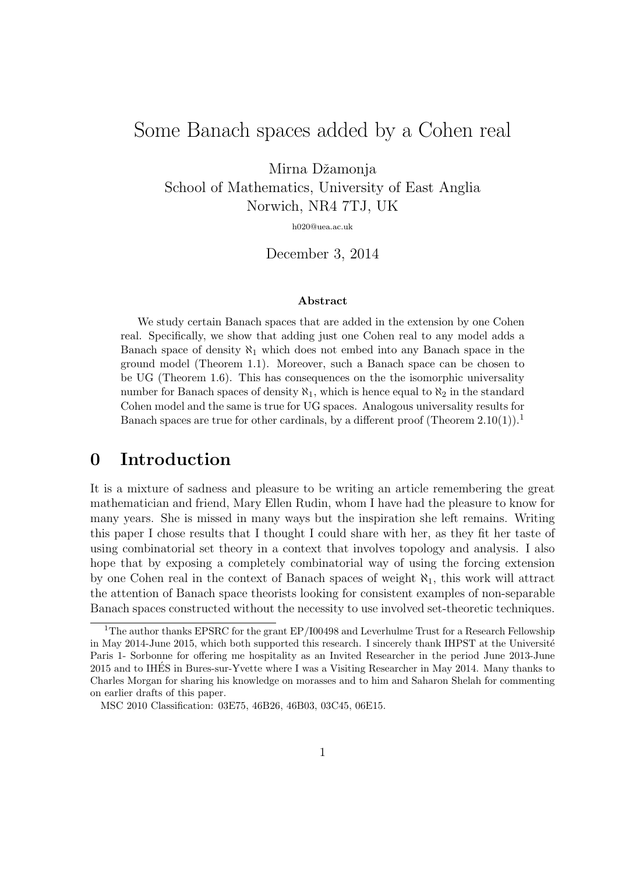## Some Banach spaces added by a Cohen real

Mirna Džamonja

School of Mathematics, University of East Anglia Norwich, NR4 7TJ, UK

h020@uea.ac.uk

December 3, 2014

#### Abstract

We study certain Banach spaces that are added in the extension by one Cohen real. Specifically, we show that adding just one Cohen real to any model adds a Banach space of density  $\aleph_1$  which does not embed into any Banach space in the ground model (Theorem 1.1). Moreover, such a Banach space can be chosen to be UG (Theorem 1.6). This has consequences on the the isomorphic universality number for Banach spaces of density  $\aleph_1$ , which is hence equal to  $\aleph_2$  in the standard Cohen model and the same is true for UG spaces. Analogous universality results for Banach spaces are true for other cardinals, by a different proof (Theorem  $2.10(1)$ ).<sup>1</sup>

## 0 Introduction

It is a mixture of sadness and pleasure to be writing an article remembering the great mathematician and friend, Mary Ellen Rudin, whom I have had the pleasure to know for many years. She is missed in many ways but the inspiration she left remains. Writing this paper I chose results that I thought I could share with her, as they fit her taste of using combinatorial set theory in a context that involves topology and analysis. I also hope that by exposing a completely combinatorial way of using the forcing extension by one Cohen real in the context of Banach spaces of weight  $\aleph_1$ , this work will attract the attention of Banach space theorists looking for consistent examples of non-separable Banach spaces constructed without the necessity to use involved set-theoretic techniques.

<sup>&</sup>lt;sup>1</sup>The author thanks EPSRC for the grant EP/I00498 and Leverhulme Trust for a Research Fellowship in May 2014-June 2015, which both supported this research. I sincerely thank IHPST at the Université Paris 1- Sorbonne for offering me hospitality as an Invited Researcher in the period June 2013-June 2015 and to IHES in Bures-sur-Yvette where I was a Visiting Researcher in May 2014. Many thanks to ´ Charles Morgan for sharing his knowledge on morasses and to him and Saharon Shelah for commenting on earlier drafts of this paper.

MSC 2010 Classification: 03E75, 46B26, 46B03, 03C45, 06E15.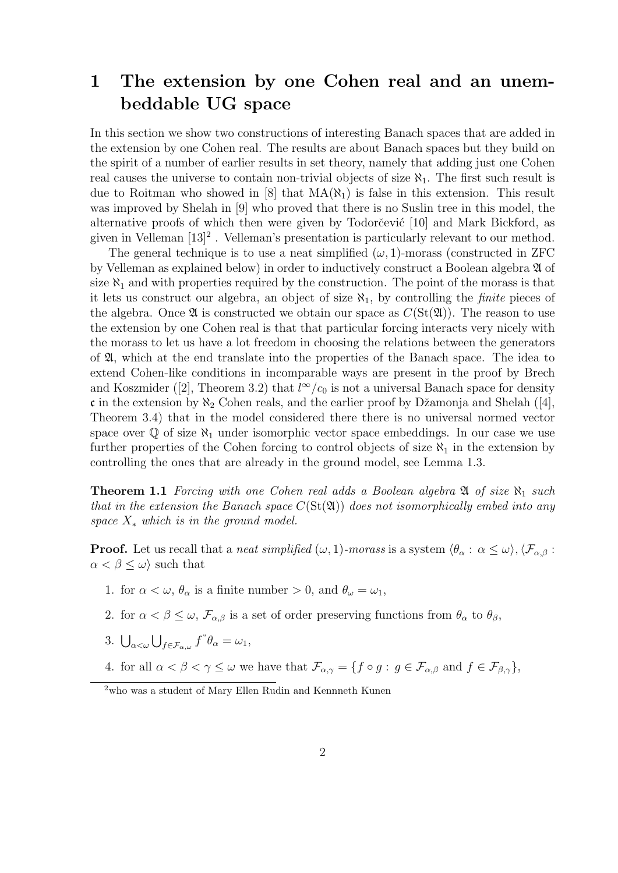## 1 The extension by one Cohen real and an unembeddable UG space

In this section we show two constructions of interesting Banach spaces that are added in the extension by one Cohen real. The results are about Banach spaces but they build on the spirit of a number of earlier results in set theory, namely that adding just one Cohen real causes the universe to contain non-trivial objects of size  $\aleph_1$ . The first such result is due to Roitman who showed in [8] that  $MA(\aleph_1)$  is false in this extension. This result was improved by Shelah in [9] who proved that there is no Suslin tree in this model, the alternative proofs of which then were given by Todorčević [10] and Mark Bickford, as given in Velleman [13]<sup>2</sup>. Velleman's presentation is particularly relevant to our method.

The general technique is to use a neat simplified  $(\omega, 1)$ -morass (constructed in ZFC by Velleman as explained below) in order to inductively construct a Boolean algebra A of size  $\aleph_1$  and with properties required by the construction. The point of the morass is that it lets us construct our algebra, an object of size  $\aleph_1$ , by controlling the *finite* pieces of the algebra. Once  $\mathfrak A$  is constructed we obtain our space as  $C(\operatorname{St}(\mathfrak A))$ . The reason to use the extension by one Cohen real is that that particular forcing interacts very nicely with the morass to let us have a lot freedom in choosing the relations between the generators of  $\mathfrak{A}$ , which at the end translate into the properties of the Banach space. The idea to extend Cohen-like conditions in incomparable ways are present in the proof by Brech and Koszmider ([2], Theorem 3.2) that  $l^{\infty}/c_0$  is not a universal Banach space for density c in the extension by  $\aleph_2$  Cohen reals, and the earlier proof by Džamonja and Shelah ([4], Theorem 3.4) that in the model considered there there is no universal normed vector space over  $\mathbb Q$  of size  $\aleph_1$  under isomorphic vector space embeddings. In our case we use further properties of the Cohen forcing to control objects of size  $\aleph_1$  in the extension by controlling the ones that are already in the ground model, see Lemma 1.3.

**Theorem 1.1** Forcing with one Cohen real adds a Boolean algebra  $\mathfrak{A}$  of size  $\aleph_1$  such that in the extension the Banach space  $C(\text{St}(\mathfrak{A}))$  does not isomorphically embed into any space  $X_*$  which is in the ground model.

**Proof.** Let us recall that a *neat simplified*  $(\omega, 1)$ -morass is a system  $\langle \theta_{\alpha} : \alpha \leq \omega \rangle$ ,  $\langle \mathcal{F}_{\alpha, \beta} :$  $\alpha < \beta \leq \omega$  such that

- 1. for  $\alpha < \omega$ ,  $\theta_{\alpha}$  is a finite number > 0, and  $\theta_{\omega} = \omega_1$ ,
- 2. for  $\alpha < \beta \leq \omega$ ,  $\mathcal{F}_{\alpha,\beta}$  is a set of order preserving functions from  $\theta_{\alpha}$  to  $\theta_{\beta}$ ,
- 3.  $\bigcup_{\alpha<\omega}\bigcup_{f\in\mathcal{F}_{\alpha,\omega}}f^{\alpha} \theta_{\alpha}=\omega_1,$
- 4. for all  $\alpha < \beta < \gamma \leq \omega$  we have that  $\mathcal{F}_{\alpha,\gamma} = \{f \circ g : g \in \mathcal{F}_{\alpha,\beta} \text{ and } f \in \mathcal{F}_{\beta,\gamma}\},\$

<sup>2</sup>who was a student of Mary Ellen Rudin and Kennneth Kunen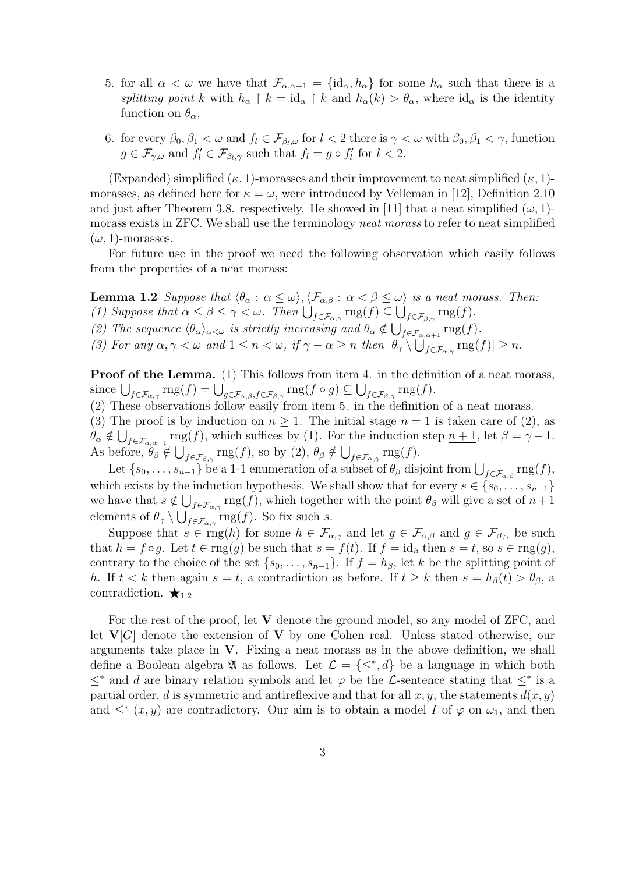- 5. for all  $\alpha < \omega$  we have that  $\mathcal{F}_{\alpha,\alpha+1} = {\rm id}_{\alpha}, h_{\alpha}$  for some  $h_{\alpha}$  such that there is a splitting point k with  $h_{\alpha} \restriction k = \mathrm{id}_{\alpha} \restriction k$  and  $h_{\alpha}(k) > \theta_{\alpha}$ , where  $\mathrm{id}_{\alpha}$  is the identity function on  $\theta_{\alpha}$ ,
- 6. for every  $\beta_0, \beta_1 < \omega$  and  $f_l \in \mathcal{F}_{\beta_l,\omega}$  for  $l < 2$  there is  $\gamma < \omega$  with  $\beta_0, \beta_1 < \gamma$ , function  $g \in \mathcal{F}_{\gamma,\omega}$  and  $f'_l \in \mathcal{F}_{\beta_l,\gamma}$  such that  $f_l = g \circ f'_l$  for  $l < 2$ .

(Expanded) simplified  $(\kappa, 1)$ -morasses and their improvement to neat simplified  $(\kappa, 1)$ morasses, as defined here for  $\kappa = \omega$ , were introduced by Velleman in [12], Definition 2.10 and just after Theorem 3.8. respectively. He showed in [11] that a neat simplified  $(\omega, 1)$ morass exists in ZFC. We shall use the terminology neat morass to refer to neat simplified  $(\omega, 1)$ -morasses.

For future use in the proof we need the following observation which easily follows from the properties of a neat morass:

**Lemma 1.2** Suppose that  $\langle \theta_{\alpha} : \alpha \leq \omega \rangle$ ,  $\langle \mathcal{F}_{\alpha,\beta} : \alpha < \beta \leq \omega \rangle$  is a neat morass. Then: (1) Suppose that  $\alpha \leq \beta \leq \gamma < \omega$ . Then  $\bigcup_{f \in \mathcal{F}_{\alpha,\gamma}} \text{rng}(f) \subseteq \bigcup_{f \in \mathcal{F}_{\beta,\gamma}} \text{rng}(f)$ .

(2) The sequence  $\langle \theta_{\alpha} \rangle_{\alpha \leq \omega}$  is strictly increasing and  $\theta_{\alpha} \notin \bigcup_{f \in \mathcal{F}_{\alpha,\alpha+1}} \text{rng}(f)$ .

(3) For any  $\alpha, \gamma < \omega$  and  $1 \leq n < \omega$ , if  $\gamma - \alpha \geq n$  then  $|\theta_{\gamma} \setminus \bigcup_{f \in \mathcal{F}_{\alpha,\gamma}} \text{rng}(f)| \geq n$ .

Proof of the Lemma. (1) This follows from item 4. in the definition of a neat morass, since  $\bigcup_{f \in \mathcal{F}_{\alpha,\gamma}} \text{rng}(f) = \bigcup_{g \in \mathcal{F}_{\alpha,\beta}, f \in \mathcal{F}_{\beta,\gamma}} \text{rng}(f \circ g) \subseteq \bigcup_{f \in \mathcal{F}_{\beta,\gamma}} \text{rng}(f)$ .

(2) These observations follow easily from item 5. in the definition of a neat morass.

(3) The proof is by induction on  $n \geq 1$ . The initial stage  $n = 1$  is taken care of (2), as  $\theta_{\alpha} \notin \bigcup_{f \in \mathcal{F}_{\alpha,\alpha+1}} \text{rng}(f)$ , which suffices by (1). For the induction step  $\underline{n+1}$ , let  $\beta = \gamma - 1$ . As before,  $\theta_{\beta} \notin \bigcup_{f \in \mathcal{F}_{\beta,\gamma}} \text{rng}(f)$ , so by  $(2), \theta_{\beta} \notin \bigcup_{f \in \mathcal{F}_{\alpha,\gamma}} \text{rng}(f)$ .

Let  $\{s_0, \ldots, s_{n-1}\}\)$  be a 1-1 enumeration of a subset of  $\theta_\beta$  disjoint from  $\bigcup_{f \in \mathcal{F}_{\alpha,\beta}} \text{rng}(f)$ , which exists by the induction hypothesis. We shall show that for every  $s \in \{s_0, \ldots, s_{n-1}\}\$ we have that  $s \notin \bigcup_{f \in \mathcal{F}_{\alpha,\gamma}} \text{rng}(f)$ , which together with the point  $\theta_{\beta}$  will give a set of  $n+1$ elements of  $\theta_{\gamma} \setminus \bigcup_{f \in \mathcal{F}_{\alpha,\gamma}} \text{rng}(f)$ . So fix such s.

Suppose that  $s \in \text{rng}(h)$  for some  $h \in \mathcal{F}_{\alpha,\gamma}$  and let  $g \in \mathcal{F}_{\alpha,\beta}$  and  $g \in \mathcal{F}_{\beta,\gamma}$  be such that  $h = f \circ g$ . Let  $t \in \text{rng}(g)$  be such that  $s = f(t)$ . If  $f = id_{\beta}$  then  $s = t$ , so  $s \in \text{rng}(g)$ , contrary to the choice of the set  $\{s_0, \ldots, s_{n-1}\}\$ . If  $f = h_\beta$ , let k be the splitting point of h. If  $t < k$  then again  $s = t$ , a contradiction as before. If  $t \geq k$  then  $s = h_{\beta}(t) > \theta_{\beta}$ , a contradiction.  $\star_{1,2}$ 

For the rest of the proof, let V denote the ground model, so any model of ZFC, and let  $V[G]$  denote the extension of V by one Cohen real. Unless stated otherwise, our arguments take place in  $V$ . Fixing a neat morass as in the above definition, we shall define a Boolean algebra  $\mathfrak A$  as follows. Let  $\mathcal L = \{\leq^*,d\}$  be a language in which both  $\leq^*$  and d are binary relation symbols and let  $\varphi$  be the L-sentence stating that  $\leq^*$  is a partial order, d is symmetric and antireflexive and that for all x, y, the statements  $d(x, y)$ and  $\leq^*(x, y)$  are contradictory. Our aim is to obtain a model I of  $\varphi$  on  $\omega_1$ , and then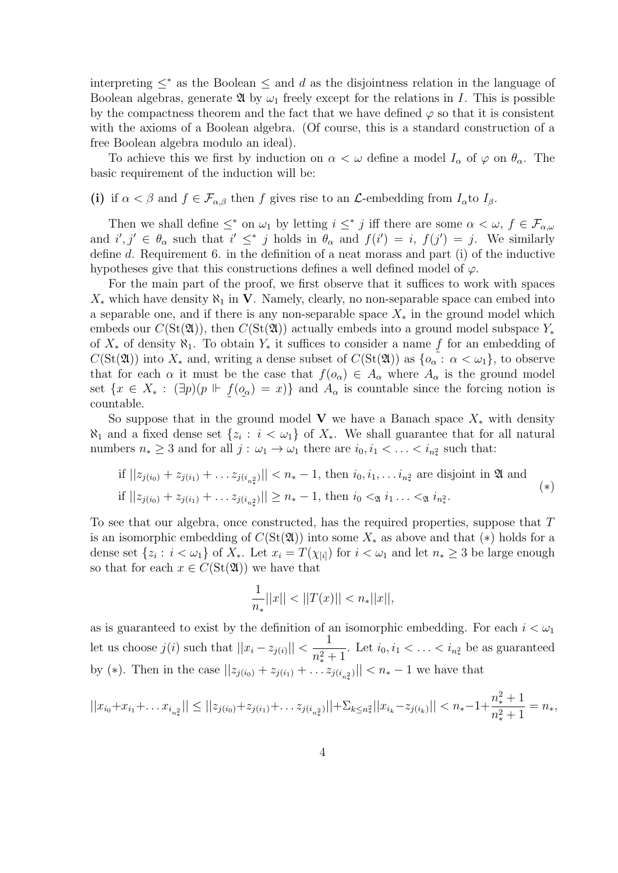interpreting  $\leq^*$  as the Boolean  $\leq$  and d as the disjointness relation in the language of Boolean algebras, generate  $\mathfrak A$  by  $\omega_1$  freely except for the relations in I. This is possible by the compactness theorem and the fact that we have defined  $\varphi$  so that it is consistent with the axioms of a Boolean algebra. (Of course, this is a standard construction of a free Boolean algebra modulo an ideal).

To achieve this we first by induction on  $\alpha < \omega$  define a model  $I_{\alpha}$  of  $\varphi$  on  $\theta_{\alpha}$ . The basic requirement of the induction will be:

(i) if  $\alpha < \beta$  and  $f \in \mathcal{F}_{\alpha,\beta}$  then f gives rise to an  $\mathcal{L}$ -embedding from  $I_{\alpha}$ to  $I_{\beta}$ .

Then we shall define  $\leq^*$  on  $\omega_1$  by letting  $i \leq^* j$  iff there are some  $\alpha < \omega, f \in \mathcal{F}_{\alpha,\omega}$ and  $i', j' \in \theta_\alpha$  such that  $i' \leq^* j$  holds in  $\theta_\alpha$  and  $f(i') = i, f(j') = j$ . We similarly define d. Requirement 6. in the definition of a neat morass and part (i) of the inductive hypotheses give that this constructions defines a well defined model of  $\varphi$ .

For the main part of the proof, we first observe that it suffices to work with spaces  $X_*$  which have density  $\aleph_1$  in V. Namely, clearly, no non-separable space can embed into a separable one, and if there is any non-separable space  $X_*$  in the ground model which embeds our  $C(\text{St}(\mathfrak{A}))$ , then  $C(\text{St}(\mathfrak{A}))$  actually embeds into a ground model subspace  $Y_*$ of  $X_*$  of density  $\aleph_1$ . To obtain  $Y_*$  it suffices to consider a name f for an embedding of  $C(\text{St}(\mathfrak{A}))$  into  $X_*$  and, writing a dense subset of  $C(\text{St}(\mathfrak{A}))$  as  $\{\alpha \in \alpha : \alpha < \omega_1\}$ , to observe that for each  $\alpha$  it must be the case that  $f(o_{\alpha}) \in A_{\alpha}$  where  $A_{\alpha}$  is the ground model set  $\{x \in X_* : (\exists p)(p \Vdash f)\}$  $\tilde{\mathcal{C}}$  $(o_\alpha$  $\tilde{\phantom{a}}$  $= x$ } and  $A_{\alpha}$  is countable since the forcing notion is countable.

So suppose that in the ground model V we have a Banach space  $X_*$  with density  $\aleph_1$  and a fixed dense set  $\{z_i : i < \omega_1\}$  of  $X_*$ . We shall guarantee that for all natural numbers  $n_* \geq 3$  and for all  $j : \omega_1 \to \omega_1$  there are  $i_0, i_1 < \ldots < i_{n_*}$  such that:

if 
$$
||z_{j(i_0)} + z_{j(i_1)} + \ldots z_{j(i_{n^2})}|| < n_* - 1
$$
, then  $i_0, i_1, \ldots i_{n^2}$  are disjoint in  $\mathfrak{A}$  and  
if  $||z_{j(i_0)} + z_{j(i_1)} + \ldots z_{j(i_{n^2})}|| \ge n_* - 1$ , then  $i_0 <_{\mathfrak{A}} i_1 \ldots <_{\mathfrak{A}} i_{n^2}$ . 
$$
(*)
$$

To see that our algebra, once constructed, has the required properties, suppose that T is an isomorphic embedding of  $C(\text{St}(\mathfrak{A}))$  into some  $X_*$  as above and that  $(*)$  holds for a dense set  $\{z_i : i < \omega_1\}$  of  $X_*$ . Let  $x_i = T(\chi_{[i]})$  for  $i < \omega_1$  and let  $n_* \geq 3$  be large enough so that for each  $x \in C(\text{St}(\mathfrak{A}))$  we have that

$$
\frac{1}{n_*}||x|| < ||T(x)|| < n_*||x||,
$$

as is guaranteed to exist by the definition of an isomorphic embedding. For each  $i < \omega_1$ let us choose  $j(i)$  such that  $||x_i - z_{j(i)}|| < \frac{1}{n^2}$  $n_*^2+1$ . Let  $i_0, i_1 < \ldots < i_{n_*^2}$  be as guaranteed by (\*). Then in the case  $||z_{j(i_0)} + z_{j(i_1)} + \ldots z_{j(i_n)}|| < n_* - 1$  we have that

$$
||x_{i_0} + x_{i_1} + \dots + x_{i_{n_\ast}^2}|| \le ||z_{j(i_0)} + z_{j(i_1)} + \dots + z_{j(i_{n_\ast}^2)}|| + \sum_{k \le n_\ast^2} ||x_{i_k} - z_{j(i_k)}|| < n_\ast - 1 + \frac{n_\ast^2 + 1}{n_\ast^2 + 1} = n_\ast,
$$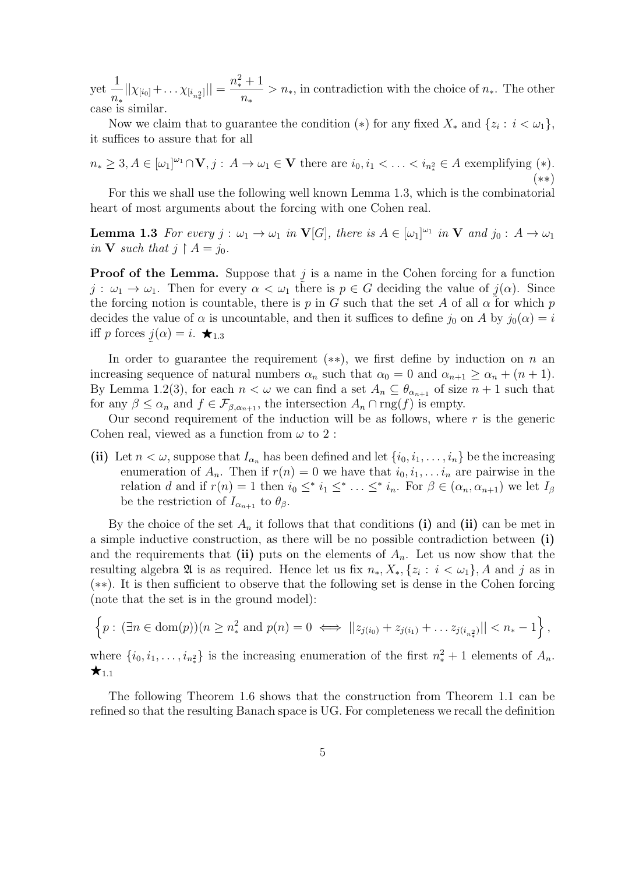yet 1  $\frac{1}{n_*}||\chi_{[i_0]} + \ldots \chi_{[i_{n_*^2}]}|| = \frac{n_*^2+1}{n_*}$ n∗  $> n<sub>*</sub>$ , in contradiction with the choice of  $n<sub>*</sub>$ . The other case is similar.

Now we claim that to guarantee the condition (\*) for any fixed  $X_*$  and  $\{z_i : i < \omega_1\},$ it suffices to assure that for all

$$
n_* \geq 3, A \in [\omega_1]^{\omega_1} \cap \mathbf{V}, j : A \to \omega_1 \in \mathbf{V} \text{ there are } i_0, i_1 < \ldots < i_{n_*^2} \in A \text{ exemplifying (*)}.
$$
  
(\*)

For this we shall use the following well known Lemma 1.3, which is the combinatorial heart of most arguments about the forcing with one Cohen real.

**Lemma 1.3** For every  $j : \omega_1 \to \omega_1$  in  $V[G]$ , there is  $A \in [\omega_1]^{\omega_1}$  in V and  $j_0 : A \to \omega_1$ in **V** such that  $j \restriction A = j_0$ .

**Proof of the Lemma.** Suppose that  $j$  is a name in the Cohen forcing for a function  $j: \omega_1 \to \omega_1$ . Then for every  $\alpha < \omega_1$  there is  $p \in G$  deciding the value of  $j(\alpha)$ . Since the forcing notion is countable, there is p in G such that the set A of all  $\alpha$  for which p decides the value of  $\alpha$  is uncountable, and then it suffices to define  $j_0$  on A by  $j_0(\alpha) = i$ iff p forces  $j(\alpha) = i$ .  $\bigstar_{1.3}$  $\tilde{\zeta}$ 

In order to guarantee the requirement  $(**)$ , we first define by induction on n an increasing sequence of natural numbers  $\alpha_n$  such that  $\alpha_0 = 0$  and  $\alpha_{n+1} \ge \alpha_n + (n+1)$ . By Lemma 1.2(3), for each  $n < \omega$  we can find a set  $A_n \subseteq \theta_{\alpha_{n+1}}$  of size  $n+1$  such that for any  $\beta \leq \alpha_n$  and  $f \in \mathcal{F}_{\beta,\alpha_{n+1}}$ , the intersection  $A_n \cap \text{rng}(f)$  is empty.

Our second requirement of the induction will be as follows, where  $r$  is the generic Cohen real, viewed as a function from  $\omega$  to 2:

(ii) Let  $n < \omega$ , suppose that  $I_{\alpha_n}$  has been defined and let  $\{i_0, i_1, \ldots, i_n\}$  be the increasing enumeration of  $A_n$ . Then if  $r(n) = 0$  we have that  $i_0, i_1, \ldots, i_n$  are pairwise in the relation d and if  $r(n) = 1$  then  $i_0 \leq^* i_1 \leq^* \ldots \leq^* i_n$ . For  $\beta \in (\alpha_n, \alpha_{n+1})$  we let  $I_\beta$ be the restriction of  $I_{\alpha_{n+1}}$  to  $\theta_{\beta}$ .

By the choice of the set  $A_n$  it follows that that conditions (i) and (ii) can be met in a simple inductive construction, as there will be no possible contradiction between (i) and the requirements that (ii) puts on the elements of  $A_n$ . Let us now show that the resulting algebra  $\mathfrak A$  is as required. Hence let us fix  $n_*, X_*, \{z_i : i < \omega_1\}, A$  and j as in (∗∗). It is then sufficient to observe that the following set is dense in the Cohen forcing (note that the set is in the ground model):

$$
\left\{p: (\exists n \in \text{dom}(p))(n \geq n_*^2 \text{ and } p(n) = 0 \iff ||z_{j(i_0)} + z_{j(i_1)} + \dots z_{j(i_{n_*^2})}|| < n_* - 1\right\},\
$$

where  $\{i_0, i_1, \ldots, i_{n_*^2}\}\$ is the increasing enumeration of the first  $n_*^2 + 1$  elements of  $A_n$ .  $\star_{1.1}$ 

The following Theorem 1.6 shows that the construction from Theorem 1.1 can be refined so that the resulting Banach space is UG. For completeness we recall the definition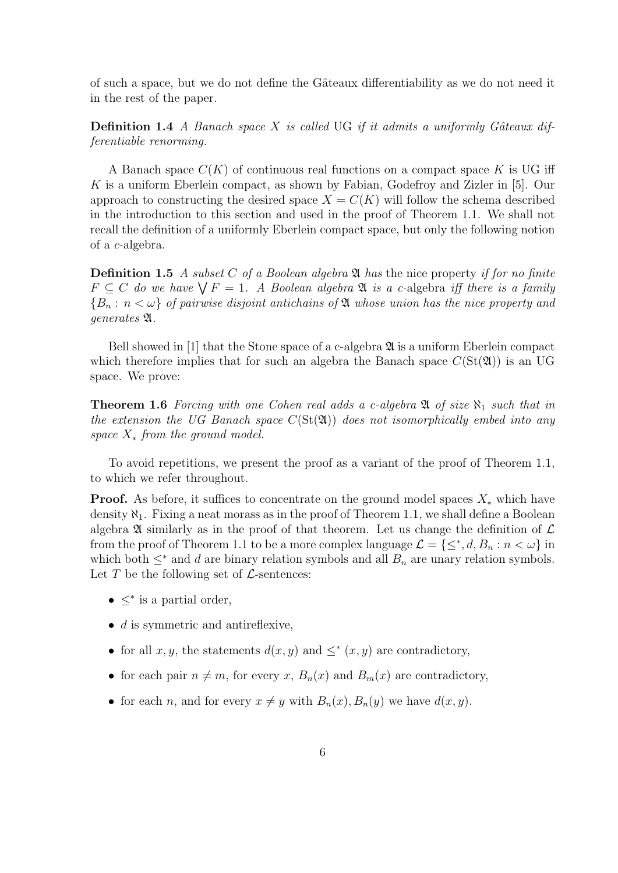of such a space, but we do not define the Gâteaux differentiability as we do not need it in the rest of the paper.

**Definition 1.4** A Banach space X is called UG if it admits a uniformly Gâteaux differentiable renorming.

A Banach space  $C(K)$  of continuous real functions on a compact space K is UG iff K is a uniform Eberlein compact, as shown by Fabian, Godefroy and Zizler in [5]. Our approach to constructing the desired space  $X = C(K)$  will follow the schema described in the introduction to this section and used in the proof of Theorem 1.1. We shall not recall the definition of a uniformly Eberlein compact space, but only the following notion of a c-algebra.

**Definition 1.5** A subset C of a Boolean algebra  $\mathfrak{A}$  has the nice property if for no finite  $F \subseteq C$  do we have  $\bigvee F = 1$ . A Boolean algebra  $\mathfrak A$  is a c-algebra iff there is a family  ${B_n : n < \omega}$  of pairwise disjoint antichains of  $\mathfrak A$  whose union has the nice property and generates A.

Bell showed in [1] that the Stone space of a c-algebra  $\mathfrak{A}$  is a uniform Eberlein compact which therefore implies that for such an algebra the Banach space  $C(\text{St}(\mathfrak{A}))$  is an UG space. We prove:

**Theorem 1.6** Forcing with one Cohen real adds a c-algebra  $\mathfrak{A}$  of size  $\aleph_1$  such that in the extension the UG Banach space  $C(\text{St}(\mathfrak{A}))$  does not isomorphically embed into any space  $X_*$  from the ground model.

To avoid repetitions, we present the proof as a variant of the proof of Theorem 1.1, to which we refer throughout.

**Proof.** As before, it suffices to concentrate on the ground model spaces  $X_*$  which have density  $\aleph_1$ . Fixing a neat morass as in the proof of Theorem 1.1, we shall define a Boolean algebra  $\mathfrak A$  similarly as in the proof of that theorem. Let us change the definition of  $\mathcal L$ from the proof of Theorem 1.1 to be a more complex language  $\mathcal{L} = \{\leq^*, d, B_n : n < \omega\}$  in which both  $\leq^*$  and d are binary relation symbols and all  $B_n$  are unary relation symbols. Let  $T$  be the following set of  $\mathcal{L}$ -sentences:

- $\leq^*$  is a partial order,
- $d$  is symmetric and antireflexive,
- for all  $x, y$ , the statements  $d(x, y)$  and  $\leq^* (x, y)$  are contradictory,
- for each pair  $n \neq m$ , for every x,  $B_n(x)$  and  $B_m(x)$  are contradictory,
- for each n, and for every  $x \neq y$  with  $B_n(x)$ ,  $B_n(y)$  we have  $d(x, y)$ .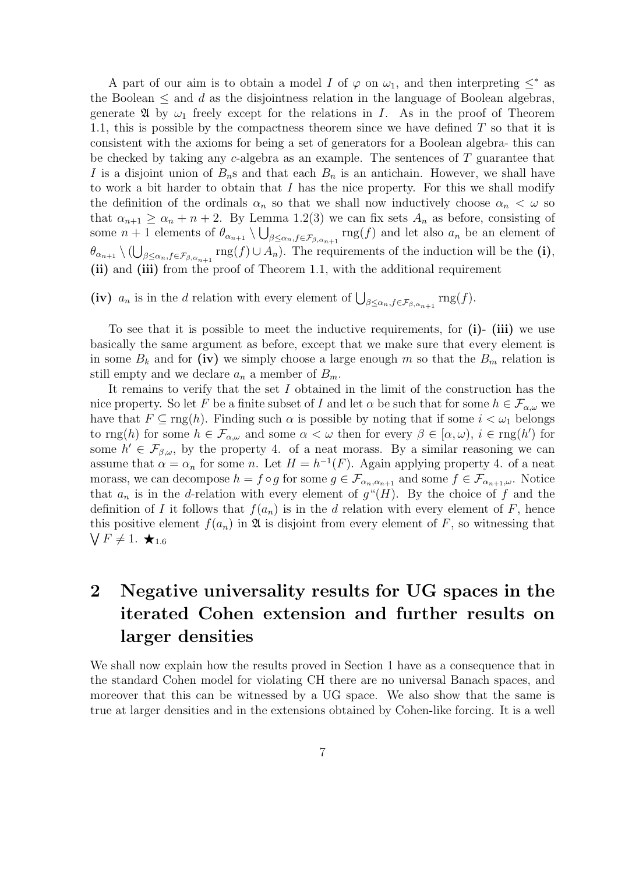A part of our aim is to obtain a model I of  $\varphi$  on  $\omega_1$ , and then interpreting  $\leq^*$  as the Boolean  $\leq$  and d as the disjointness relation in the language of Boolean algebras, generate  $\mathfrak A$  by  $\omega_1$  freely except for the relations in I. As in the proof of Theorem 1.1, this is possible by the compactness theorem since we have defined  $T$  so that it is consistent with the axioms for being a set of generators for a Boolean algebra- this can be checked by taking any c-algebra as an example. The sentences of T guarantee that I is a disjoint union of  $B_n$ s and that each  $B_n$  is an antichain. However, we shall have to work a bit harder to obtain that  $I$  has the nice property. For this we shall modify the definition of the ordinals  $\alpha_n$  so that we shall now inductively choose  $\alpha_n < \omega$  so that  $\alpha_{n+1} \ge \alpha_n + n + 2$ . By Lemma 1.2(3) we can fix sets  $A_n$  as before, consisting of some  $n+1$  elements of  $\theta_{\alpha_{n+1}} \setminus \bigcup_{\beta \leq \alpha_n, f \in \mathcal{F}_{\beta,\alpha_{n+1}}} \text{rng}(f)$  and let also  $a_n$  be an element of  $\theta_{\alpha_{n+1}}\setminus(\bigcup_{\beta\leq\alpha_n,f\in\mathcal{F}_{\beta,\alpha_{n+1}}}\text{rng}(f)\cup A_n)$ . The requirements of the induction will be the (i), (ii) and (iii) from the proof of Theorem 1.1, with the additional requirement

(iv)  $a_n$  is in the d relation with every element of  $\bigcup_{\beta \leq \alpha_n, f \in \mathcal{F}_{\beta, \alpha_{n+1}}} \text{rng}(f)$ .

To see that it is possible to meet the inductive requirements, for  $(i)$ -  $(iii)$  we use basically the same argument as before, except that we make sure that every element is in some  $B_k$  and for (iv) we simply choose a large enough m so that the  $B_m$  relation is still empty and we declare  $a_n$  a member of  $B_m$ .

It remains to verify that the set  $I$  obtained in the limit of the construction has the nice property. So let F be a finite subset of I and let  $\alpha$  be such that for some  $h \in \mathcal{F}_{\alpha,\omega}$  we have that  $F \subseteq \text{rng}(h)$ . Finding such  $\alpha$  is possible by noting that if some  $i < \omega_1$  belongs to  $\text{rng}(h)$  for some  $h \in \mathcal{F}_{\alpha,\omega}$  and some  $\alpha < \omega$  then for every  $\beta \in [\alpha,\omega), i \in \text{rng}(h')$  for some  $h' \in \mathcal{F}_{\beta,\omega}$ , by the property 4. of a neat morass. By a similar reasoning we can assume that  $\alpha = \alpha_n$  for some n. Let  $H = h^{-1}(F)$ . Again applying property 4. of a neat morass, we can decompose  $h = f \circ g$  for some  $g \in \mathcal{F}_{\alpha_n, \alpha_{n+1}}$  and some  $f \in \mathcal{F}_{\alpha_{n+1}, \omega}$ . Notice that  $a_n$  is in the d-relation with every element of  $g''(H)$ . By the choice of f and the definition of I it follows that  $f(a_n)$  is in the d relation with every element of F, hence this positive element  $f(a_n)$  in  $\mathfrak A$  is disjoint from every element of F, so witnessing that  $\bigvee F \neq 1. \star_{1.6}$ 

# 2 Negative universality results for UG spaces in the iterated Cohen extension and further results on larger densities

We shall now explain how the results proved in Section 1 have as a consequence that in the standard Cohen model for violating CH there are no universal Banach spaces, and moreover that this can be witnessed by a UG space. We also show that the same is true at larger densities and in the extensions obtained by Cohen-like forcing. It is a well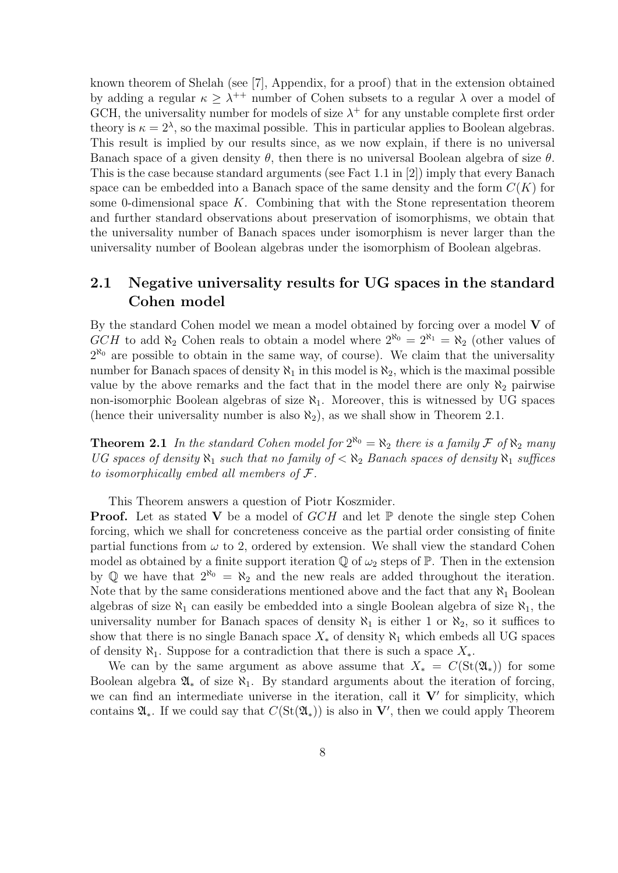known theorem of Shelah (see [7], Appendix, for a proof) that in the extension obtained by adding a regular  $\kappa \geq \lambda^{++}$  number of Cohen subsets to a regular  $\lambda$  over a model of GCH, the universality number for models of size  $\lambda^+$  for any unstable complete first order theory is  $\kappa = 2^{\lambda}$ , so the maximal possible. This in particular applies to Boolean algebras. This result is implied by our results since, as we now explain, if there is no universal Banach space of a given density  $\theta$ , then there is no universal Boolean algebra of size  $\theta$ . This is the case because standard arguments (see Fact 1.1 in [2]) imply that every Banach space can be embedded into a Banach space of the same density and the form  $C(K)$  for some 0-dimensional space  $K$ . Combining that with the Stone representation theorem and further standard observations about preservation of isomorphisms, we obtain that the universality number of Banach spaces under isomorphism is never larger than the universality number of Boolean algebras under the isomorphism of Boolean algebras.

### 2.1 Negative universality results for UG spaces in the standard Cohen model

By the standard Cohen model we mean a model obtained by forcing over a model  $V$  of GCH to add  $\aleph_2$  Cohen reals to obtain a model where  $2^{\aleph_0} = 2^{\aleph_1} = \aleph_2$  (other values of  $2^{\aleph_0}$  are possible to obtain in the same way, of course). We claim that the universality number for Banach spaces of density  $\aleph_1$  in this model is  $\aleph_2$ , which is the maximal possible value by the above remarks and the fact that in the model there are only  $\aleph_2$  pairwise non-isomorphic Boolean algebras of size  $\aleph_1$ . Moreover, this is witnessed by UG spaces (hence their universality number is also  $\aleph_2$ ), as we shall show in Theorem 2.1.

**Theorem 2.1** In the standard Cohen model for  $2^{\aleph_0} = \aleph_2$  there is a family F of  $\aleph_2$  many UG spaces of density  $\aleph_1$  such that no family of  $\lt \aleph_2$  Banach spaces of density  $\aleph_1$  suffices to isomorphically embed all members of  $\mathcal{F}.$ 

This Theorem answers a question of Piotr Koszmider.

**Proof.** Let as stated V be a model of  $GCH$  and let P denote the single step Cohen forcing, which we shall for concreteness conceive as the partial order consisting of finite partial functions from  $\omega$  to 2, ordered by extension. We shall view the standard Cohen model as obtained by a finite support iteration  $\mathbb Q$  of  $\omega_2$  steps of  $\mathbb P$ . Then in the extension by Q we have that  $2^{\aleph_0} = \aleph_2$  and the new reals are added throughout the iteration. Note that by the same considerations mentioned above and the fact that any  $\aleph_1$  Boolean algebras of size  $\aleph_1$  can easily be embedded into a single Boolean algebra of size  $\aleph_1$ , the universality number for Banach spaces of density  $\aleph_1$  is either 1 or  $\aleph_2$ , so it suffices to show that there is no single Banach space  $X_*$  of density  $\aleph_1$  which embeds all UG spaces of density  $\aleph_1$ . Suppose for a contradiction that there is such a space  $X_*$ .

We can by the same argument as above assume that  $X_* = C(\text{St}(\mathfrak{A}_*))$  for some Boolean algebra  $\mathfrak{A}_*$  of size  $\aleph_1$ . By standard arguments about the iteration of forcing, we can find an intermediate universe in the iteration, call it  $V'$  for simplicity, which contains  $\mathfrak{A}_*$ . If we could say that  $C(\mathrm{St}(\mathfrak{A}_*))$  is also in  $\mathbf{V}'$ , then we could apply Theorem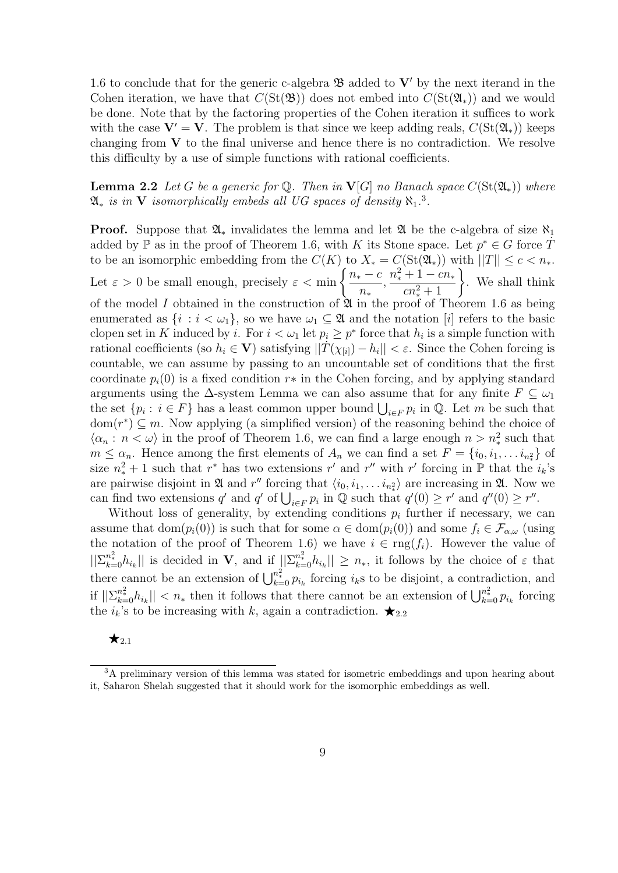1.6 to conclude that for the generic c-algebra  $\mathfrak{B}$  added to  $V'$  by the next iterand in the Cohen iteration, we have that  $C(\text{St}(\mathfrak{B}))$  does not embed into  $C(\text{St}(\mathfrak{A}_{*}))$  and we would be done. Note that by the factoring properties of the Cohen iteration it suffices to work with the case  $V' = V$ . The problem is that since we keep adding reals,  $C(\text{St}(\mathfrak{A}_{*}))$  keeps changing from  $V$  to the final universe and hence there is no contradiction. We resolve this difficulty by a use of simple functions with rational coefficients.

**Lemma 2.2** Let G be a generic for  $\mathbb Q$ . Then in **V**[G] no Banach space  $C(\text{St}(\mathfrak{A}_*))$  where  $\mathfrak{A}_*$  is in V isomorphically embeds all UG spaces of density  $\aleph_1$ .<sup>3</sup>.

**Proof.** Suppose that  $\mathfrak{A}_*$  invalidates the lemma and let  $\mathfrak{A}$  be the c-algebra of size  $\aleph_1$ added by  $\mathbb P$  as in the proof of Theorem 1.6, with K its Stone space. Let  $p^* \in G$  force  $\dot{T}$ to be an isomorphic embedding from the  $C(K)$  to  $X_* = C(\text{St}(\mathfrak{A}_*))$  with  $||T|| \leq c < n_*$ . Let  $\varepsilon > 0$  be small enough, precisely  $\varepsilon < \min \left\{ \frac{n_* - c}{n_* - c} \right\}$ n∗ ,  $n_*^2 + 1 - cn_*$  $+\frac{1-cn_*}{cn_*^2+1}\}$ . We shall think of the model I obtained in the construction of  $\mathfrak{A}$  in the proof of Theorem 1.6 as being enumerated as  $\{i : i < \omega_1\}$ , so we have  $\omega_1 \subseteq \mathfrak{A}$  and the notation  $[i]$  refers to the basic clopen set in K induced by i. For  $i < \omega_1$  let  $p_i \geq p^*$  force that  $h_i$  is a simple function with rational coefficients (so  $h_i \in V$ ) satisfying  $||\dot{T}(\chi_{[i]}) - h_i|| < \varepsilon$ . Since the Cohen forcing is countable, we can assume by passing to an uncountable set of conditions that the first coordinate  $p_i(0)$  is a fixed condition  $r*$  in the Cohen forcing, and by applying standard arguments using the  $\Delta$ -system Lemma we can also assume that for any finite  $F \subseteq \omega_1$ the set  $\{p_i : i \in F\}$  has a least common upper bound  $\bigcup_{i \in F} p_i$  in  $\mathbb{Q}$ . Let m be such that  $dom(r^*) \subseteq m$ . Now applying (a simplified version) of the reasoning behind the choice of  $\langle \alpha_n : n < \omega \rangle$  in the proof of Theorem 1.6, we can find a large enough  $n > n_*^2$  such that  $m \leq \alpha_n$ . Hence among the first elements of  $A_n$  we can find a set  $F = \{i_0, i_1, \ldots, i_{n_*} \}$  of size  $n_x^2 + 1$  such that  $r^*$  has two extensions r' and r'' with r' forcing in P that the  $i_k$ 's are pairwise disjoint in  $\mathfrak A$  and  $r''$  forcing that  $\langle i_0, i_1, \ldots, i_{n_*} \rangle$  are increasing in  $\mathfrak A$ . Now we can find two extensions q' and q' of  $\bigcup_{i\in F} p_i$  in  $\mathbb Q$  such that  $q'(0) \geq r'$  and  $q''(0) \geq r''$ .

Without loss of generality, by extending conditions  $p_i$  further if necessary, we can assume that dom $(p_i(0))$  is such that for some  $\alpha \in \text{dom}(p_i(0))$  and some  $f_i \in \mathcal{F}_{\alpha,\omega}$  (using the notation of the proof of Theorem 1.6) we have  $i \in \text{rng}(f_i)$ . However the value of  $||\sum_{k=0}^{n_*^2} h_{i_k}||$  is decided in **V**, and if  $||\sum_{k=0}^{n_*^2} h_{i_k}|| \geq n_*$ , it follows by the choice of  $\varepsilon$  that there cannot be an extension of  $\bigcup_{k=0}^{n_x^2} p_{i_k}$  forcing  $i_k$ s to be disjoint, a contradiction, and if  $||\sum_{k=0}^{n_x^2} h_{i_k}|| < n_*$  then it follows that there cannot be an extension of  $\bigcup_{k=0}^{n_*^2} p_{i_k}$  forcing the  $i_k$ 's to be increasing with k, again a contradiction.  $\bigstar_{2,2}$ 

#### $\star$ <sub>2.1</sub>

<sup>3</sup>A preliminary version of this lemma was stated for isometric embeddings and upon hearing about it, Saharon Shelah suggested that it should work for the isomorphic embeddings as well.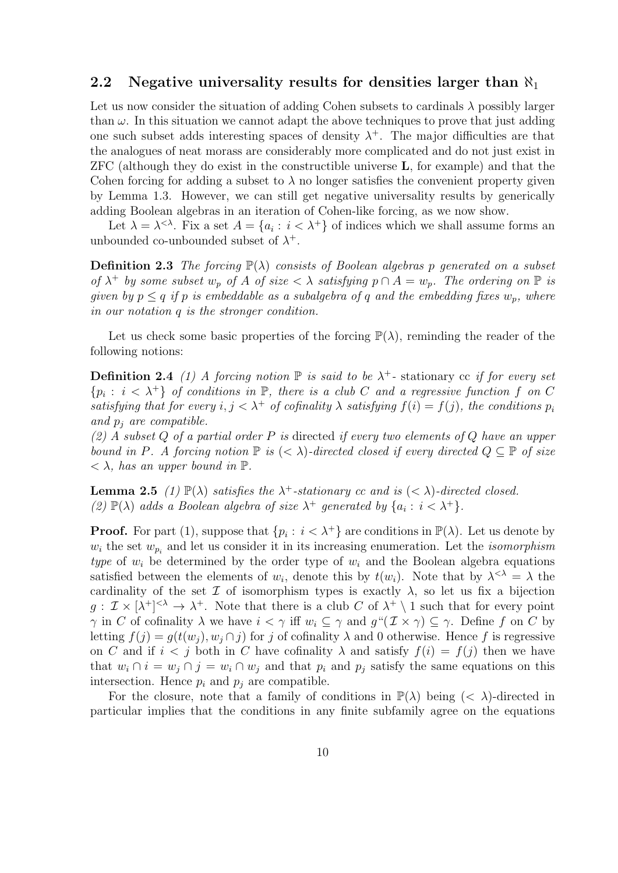#### 2.2 Negative universality results for densities larger than  $\aleph_1$

Let us now consider the situation of adding Cohen subsets to cardinals  $\lambda$  possibly larger than  $\omega$ . In this situation we cannot adapt the above techniques to prove that just adding one such subset adds interesting spaces of density  $\lambda^+$ . The major difficulties are that the analogues of neat morass are considerably more complicated and do not just exist in ZFC (although they do exist in the constructible universe L, for example) and that the Cohen forcing for adding a subset to  $\lambda$  no longer satisfies the convenient property given by Lemma 1.3. However, we can still get negative universality results by generically adding Boolean algebras in an iteration of Cohen-like forcing, as we now show.

Let  $\lambda = \lambda^{<\lambda}$ . Fix a set  $A = \{a_i : i < \lambda^+\}$  of indices which we shall assume forms an unbounded co-unbounded subset of  $\lambda^+$ .

**Definition 2.3** The forcing  $\mathbb{P}(\lambda)$  consists of Boolean algebras p generated on a subset of  $\lambda^+$  by some subset  $w_p$  of A of size  $\langle \lambda \rangle$  satisfying  $p \cap A = w_p$ . The ordering on  $\mathbb P$  is given by  $p \leq q$  if p is embeddable as a subalgebra of q and the embedding fixes  $w_p$ , where in our notation q is the stronger condition.

Let us check some basic properties of the forcing  $\mathbb{P}(\lambda)$ , reminding the reader of the following notions:

**Definition 2.4** (1) A forcing notion  $\mathbb P$  is said to be  $\lambda^+$ - stationary cc if for every set  $\{p_i : i < \lambda^+\}$  of conditions in  $\mathbb{P}$ , there is a club C and a regressive function f on C satisfying that for every  $i, j < \lambda^+$  of cofinality  $\lambda$  satisfying  $f(i) = f(j)$ , the conditions  $p_i$ and  $p_i$  are compatible.

 $(2)$  A subset Q of a partial order P is directed if every two elements of Q have an upper bound in P. A forcing notion  $\mathbb P$  is  $( $\lambda$ )-directed closed if every directed  $Q \subseteq \mathbb P$  of size$  $\langle \rangle$ , has an upper bound in  $\mathbb{P}$ .

**Lemma 2.5** (1)  $\mathbb{P}(\lambda)$  satisfies the  $\lambda^+$ -stationary cc and is  $(< \lambda$ )-directed closed. (2)  $\mathbb{P}(\lambda)$  adds a Boolean algebra of size  $\lambda^+$  generated by  $\{a_i : i < \lambda^+\}$ .

**Proof.** For part (1), suppose that  $\{p_i : i < \lambda^+\}$  are conditions in  $\mathbb{P}(\lambda)$ . Let us denote by  $w_i$  the set  $w_{p_i}$  and let us consider it in its increasing enumeration. Let the *isomorphism* type of  $w_i$  be determined by the order type of  $w_i$  and the Boolean algebra equations satisfied between the elements of  $w_i$ , denote this by  $t(w_i)$ . Note that by  $\lambda^{<\lambda} = \lambda$  the cardinality of the set  $\mathcal I$  of isomorphism types is exactly  $\lambda$ , so let us fix a bijection  $g: \mathcal{I} \times [\lambda^+]^{<\lambda} \to \lambda^+$ . Note that there is a club C of  $\lambda^+ \setminus 1$  such that for every point  $\gamma$  in C of cofinality  $\lambda$  we have  $i < \gamma$  iff  $w_i \subseteq \gamma$  and  $g''(\mathcal{I} \times \gamma) \subseteq \gamma$ . Define f on C by letting  $f(j) = g(t(w_i), w_j \cap j)$  for j of cofinality  $\lambda$  and 0 otherwise. Hence f is regressive on C and if  $i < j$  both in C have cofinality  $\lambda$  and satisfy  $f(i) = f(j)$  then we have that  $w_i \cap i = w_j \cap j = w_i \cap w_j$  and that  $p_i$  and  $p_j$  satisfy the same equations on this intersection. Hence  $p_i$  and  $p_j$  are compatible.

For the closure, note that a family of conditions in  $\mathbb{P}(\lambda)$  being  $( $\lambda$ )-directed in$ particular implies that the conditions in any finite subfamily agree on the equations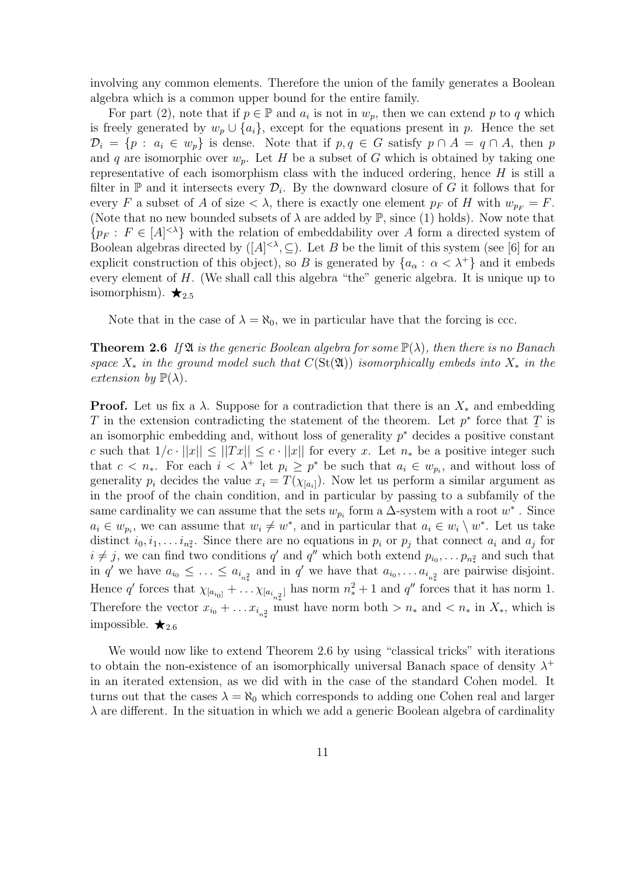involving any common elements. Therefore the union of the family generates a Boolean algebra which is a common upper bound for the entire family.

For part (2), note that if  $p \in \mathbb{P}$  and  $a_i$  is not in  $w_p$ , then we can extend p to q which is freely generated by  $w_p \cup \{a_i\}$ , except for the equations present in p. Hence the set  $\mathcal{D}_i = \{p : a_i \in w_p\}$  is dense. Note that if  $p, q \in G$  satisfy  $p \cap A = q \cap A$ , then p and q are isomorphic over  $w_p$ . Let H be a subset of G which is obtained by taking one representative of each isomorphism class with the induced ordering, hence  $H$  is still a filter in  $\mathbb P$  and it intersects every  $\mathcal D_i$ . By the downward closure of G it follows that for every F a subset of A of size  $\langle \lambda \rangle$ , there is exactly one element  $p_F$  of H with  $w_{p_F} = F$ . (Note that no new bounded subsets of  $\lambda$  are added by  $\mathbb{P}$ , since (1) holds). Now note that  ${p_F: F \in [A]^{< \lambda}$  with the relation of embeddability over A form a directed system of Boolean algebras directed by  $([A]^{<\lambda}, \subseteq)$ . Let B be the limit of this system (see [6] for an explicit construction of this object), so B is generated by  $\{a_{\alpha}: \alpha < \lambda^+\}$  and it embeds every element of H. (We shall call this algebra "the" generic algebra. It is unique up to isomorphism).  $\star_{2.5}$ 

Note that in the case of  $\lambda = \aleph_0$ , we in particular have that the forcing is ccc.

**Theorem 2.6** If  $\mathfrak{A}$  is the generic Boolean algebra for some  $\mathbb{P}(\lambda)$ , then there is no Banach space  $X_*$  in the ground model such that  $C(\text{St}(\mathfrak{A}))$  isomorphically embeds into  $X_*$  in the extension by  $\mathbb{P}(\lambda)$ .

**Proof.** Let us fix a  $\lambda$ . Suppose for a contradiction that there is an  $X_*$  and embedding T in the extension contradicting the statement of the theorem. Let  $p^*$  force that  $\overline{T}$  is an isomorphic embedding and, without loss of generality  $p^*$  decides a positive constant c such that  $1/c \cdot ||x|| \leq ||Tx|| \leq c \cdot ||x||$  for every x. Let  $n_*$  be a positive integer such that  $c < n_*$ . For each  $i < \lambda^+$  let  $p_i \geq p^*$  be such that  $a_i \in w_{p_i}$ , and without loss of generality  $p_i$  decides the value  $x_i = T(\chi_{[a_i]})$ . Now let us perform a similar argument as in the proof of the chain condition, and in particular by passing to a subfamily of the same cardinality we can assume that the sets  $w_{p_i}$  form a  $\Delta$ -system with a root  $w^*$ . Since  $a_i \in w_{p_i}$ , we can assume that  $w_i \neq w^*$ , and in particular that  $a_i \in w_i \setminus w^*$ . Let us take distinct  $i_0, i_1, \ldots i_{n_*^2}$ . Since there are no equations in  $p_i$  or  $p_j$  that connect  $a_i$  and  $a_j$  for  $i \neq j$ , we can find two conditions q' and q'' which both extend  $p_{i_0}, \ldots, p_{n_*}$  and such that in q' we have  $a_{i_0} \leq \ldots \leq a_{i_{n_x}}$  and in q' we have that  $a_{i_0}, \ldots a_{i_{n_x}}$  are pairwise disjoint. Hence q' forces that  $\chi_{[a_{i_0]} + \cdots \chi_{[a_{i_{n_s}2}]}}$  has norm  $n_*^2 + 1$  and q'' forces that it has norm 1. Therefore the vector  $x_{i_0} + \ldots x_{i_{n_*}^2}$  must have norm both  $>n_*$  and  $\lt n_*$  in  $X_*$ , which is impossible.  $\bigstar_{2.6}$ 

We would now like to extend Theorem 2.6 by using "classical tricks" with iterations to obtain the non-existence of an isomorphically universal Banach space of density  $\lambda^+$ in an iterated extension, as we did with in the case of the standard Cohen model. It turns out that the cases  $\lambda = \aleph_0$  which corresponds to adding one Cohen real and larger  $\lambda$  are different. In the situation in which we add a generic Boolean algebra of cardinality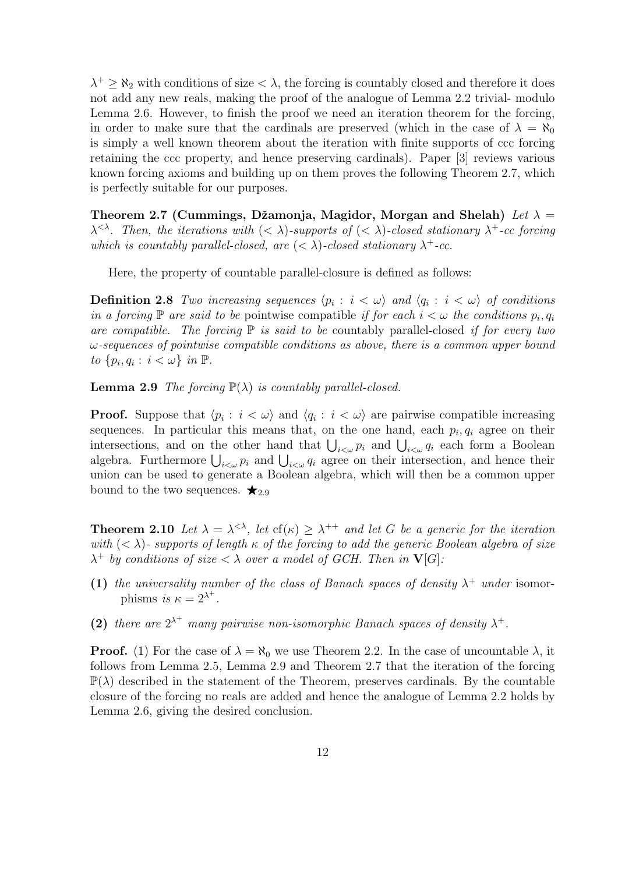$\lambda^+ \geq \aleph_2$  with conditions of size  $\lt \lambda$ , the forcing is countably closed and therefore it does not add any new reals, making the proof of the analogue of Lemma 2.2 trivial- modulo Lemma 2.6. However, to finish the proof we need an iteration theorem for the forcing, in order to make sure that the cardinals are preserved (which in the case of  $\lambda = \aleph_0$ is simply a well known theorem about the iteration with finite supports of ccc forcing retaining the ccc property, and hence preserving cardinals). Paper [3] reviews various known forcing axioms and building up on them proves the following Theorem 2.7, which is perfectly suitable for our purposes.

Theorem 2.7 (Cummings, Džamonja, Magidor, Morgan and Shelah) Let  $\lambda =$  $\lambda^{<\lambda}$ . Then, the iterations with  $(<\lambda$ )-supports of  $(<\lambda)$ -closed stationary  $\lambda^+$ -cc forcing which is countably parallel-closed, are  $( $\lambda$ )-closed stationary  $\lambda^+$ -cc.$ 

Here, the property of countable parallel-closure is defined as follows:

**Definition 2.8** Two increasing sequences  $\langle p_i : i \langle \omega \rangle$  and  $\langle q_i : i \langle \omega \rangle$  of conditions in a forcing  $\mathbb P$  are said to be pointwise compatible if for each  $i < \omega$  the conditions  $p_i, q_i$ are compatible. The forcing  $\mathbb P$  is said to be countably parallel-closed if for every two  $\omega$ -sequences of pointwise compatible conditions as above, there is a common upper bound to  $\{p_i, q_i : i < \omega\}$  in  $\mathbb{P}$ .

**Lemma 2.9** The forcing  $\mathbb{P}(\lambda)$  is countably parallel-closed.

**Proof.** Suppose that  $\langle p_i : i \langle \omega \rangle$  and  $\langle q_i : i \langle \omega \rangle$  are pairwise compatible increasing sequences. In particular this means that, on the one hand, each  $p_i, q_i$  agree on their intersections, and on the other hand that  $\bigcup_{i<\omega} p_i$  and  $\bigcup_{i<\omega} q_i$  each form a Boolean algebra. Furthermore  $\bigcup_{i<\omega} p_i$  and  $\bigcup_{i<\omega} q_i$  agree on their intersection, and hence their union can be used to generate a Boolean algebra, which will then be a common upper bound to the two sequences.  $\bigstar_{2.9}$ 

**Theorem 2.10** Let  $\lambda = \lambda^{<\lambda}$ , let  $cf(\kappa) \geq \lambda^{++}$  and let G be a generic for the iteration with  $( $\lambda$ )$ - supports of length  $\kappa$  of the forcing to add the generic Boolean algebra of size  $\lambda^+$  by conditions of size  $\langle \lambda \rangle$  over a model of GCH. Then in  $\mathbf{V}[G]$ .

- (1) the universality number of the class of Banach spaces of density  $\lambda^+$  under isomorphisms is  $\kappa = 2^{\lambda^+}$ .
- (2) there are  $2^{\lambda^+}$  many pairwise non-isomorphic Banach spaces of density  $\lambda^+$ .

**Proof.** (1) For the case of  $\lambda = \aleph_0$  we use Theorem 2.2. In the case of uncountable  $\lambda$ , it follows from Lemma 2.5, Lemma 2.9 and Theorem 2.7 that the iteration of the forcing  $\mathbb{P}(\lambda)$  described in the statement of the Theorem, preserves cardinals. By the countable closure of the forcing no reals are added and hence the analogue of Lemma 2.2 holds by Lemma 2.6, giving the desired conclusion.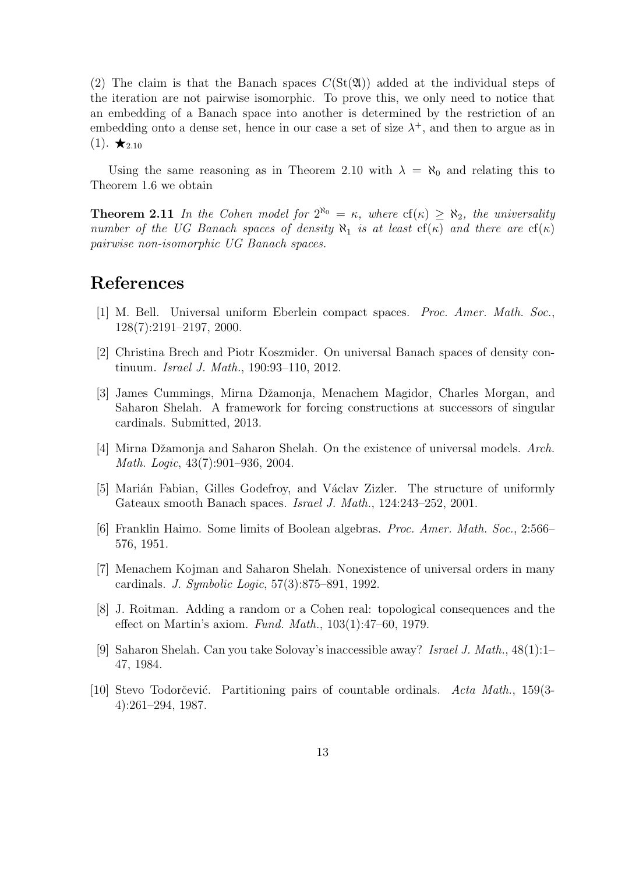(2) The claim is that the Banach spaces  $C(\text{St}(\mathfrak{A}))$  added at the individual steps of the iteration are not pairwise isomorphic. To prove this, we only need to notice that an embedding of a Banach space into another is determined by the restriction of an embedding onto a dense set, hence in our case a set of size  $\lambda^+$ , and then to argue as in  $(1). \star_{2.10}$ 

Using the same reasoning as in Theorem 2.10 with  $\lambda = \aleph_0$  and relating this to Theorem 1.6 we obtain

**Theorem 2.11** In the Cohen model for  $2^{\aleph_0} = \kappa$ , where  $cf(\kappa) \ge \aleph_2$ , the universality number of the UG Banach spaces of density  $\aleph_1$  is at least  $cf(\kappa)$  and there are  $cf(\kappa)$ pairwise non-isomorphic UG Banach spaces.

### References

- [1] M. Bell. Universal uniform Eberlein compact spaces. Proc. Amer. Math. Soc., 128(7):2191–2197, 2000.
- [2] Christina Brech and Piotr Koszmider. On universal Banach spaces of density continuum. Israel J. Math., 190:93-110, 2012.
- [3] James Cummings, Mirna Dˇzamonja, Menachem Magidor, Charles Morgan, and Saharon Shelah. A framework for forcing constructions at successors of singular cardinals. Submitted, 2013.
- [4] Mirna Džamonja and Saharon Shelah. On the existence of universal models. Arch. Math. Logic, 43(7):901–936, 2004.
- [5] Marián Fabian, Gilles Godefroy, and Václav Zizler. The structure of uniformly Gateaux smooth Banach spaces. Israel J. Math., 124:243–252, 2001.
- [6] Franklin Haimo. Some limits of Boolean algebras. Proc. Amer. Math. Soc., 2:566– 576, 1951.
- [7] Menachem Kojman and Saharon Shelah. Nonexistence of universal orders in many cardinals. J. Symbolic Logic, 57(3):875–891, 1992.
- [8] J. Roitman. Adding a random or a Cohen real: topological consequences and the effect on Martin's axiom. Fund. Math., 103(1):47–60, 1979.
- [9] Saharon Shelah. Can you take Solovay's inaccessible away? Israel J. Math., 48(1):1– 47, 1984.
- [10] Stevo Todorčević. Partitioning pairs of countable ordinals. Acta Math., 159(3-4):261–294, 1987.